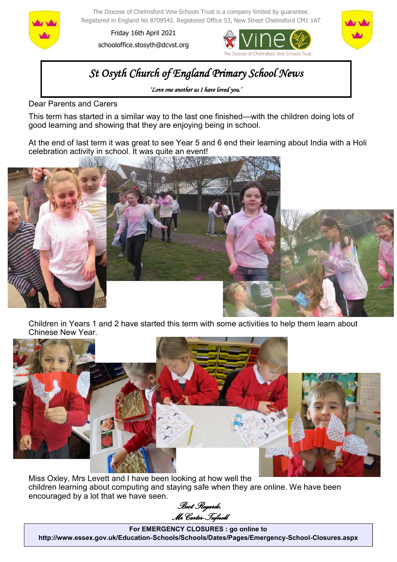

The Diocese of Chelmsford Vine Schools Trust is a company limited by guarantee. Registered in England No 8709542. Registered Office 53, New Street Chelmsford CM1 1AT

Friday 16th April 2021 schooloffice.stosyth@dcvst.org





# *St Osyth Church of England Primary School News*

*'Love one another as I have loved you.'* 

Dear Parents and Carers

This term has started in a similar way to the last one finished—with the children doing lots of good learning and showing that they are enjoying being in school.

At the end of last term it was great to see Year 5 and 6 end their learning about India with a Holi celebration activity in school. It was quite an event!



Children in Years 1 and 2 have started this term with some activities to help them learn about Chinese New Year.



Miss Oxley, Mrs Levett and I have been looking at how well the children learning about computing and staying safe when they are online. We have been encouraged by a lot that we have seen.

*Best Regards, Mr Carter-Tufnell* 

**For EMERGENCY CLOSURES : go online to http://www.essex.gov.uk/Education-Schools/Schools/Dates/Pages/Emergency-School-Closures.aspx**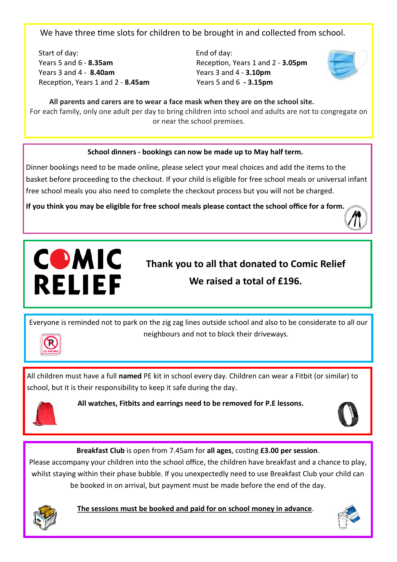We have three time slots for children to be brought in and collected from school.

Start of day: End of day: Years 5 and 6 - **8.35am** Reception, Years 1 and 2 - **3.05pm** Years 3 and 4 - **8.40am** Years 3 and 4 - **3.10pm** Reception, Years 1 and 2 - **8.45am** Years 5 and 6 **- 3.15pm**



 **All parents and carers are to wear a face mask when they are on the school site.** For each family, only one adult per day to bring children into school and adults are not to congregate on or near the school premises.

## **School dinners - bookings can now be made up to May half term.**

Dinner bookings need to be made online, please select your meal choices and add the items to the basket before proceeding to the checkout. If your child is eligible for free school meals or universal infant free school meals you also need to complete the checkout process but you will not be charged.

**If you think you may be eligible for free school meals please contact the school office for a form.** 





**Thank you to all that donated to Comic Relief We raised a total of £196.**

Everyone is reminded not to park on the zig zag lines outside school and also to be considerate to all our neighbours and not to block their driveways.



All children must have a full **named** PE kit in school every day. Children can wear a Fitbit (or similar) to school, but it is their responsibility to keep it safe during the day.



**All watches, Fitbits and earrings need to be removed for P.E lessons.**



**Breakfast Club** is open from 7.45am for **all ages**, costing **£3.00 per session**.

Please accompany your children into the school office, the children have breakfast and a chance to play, whilst staying within their phase bubble. If you unexpectedly need to use Breakfast Club your child can be booked in on arrival, but payment must be made before the end of the day.



**The sessions must be booked and paid for on school money in advance**.